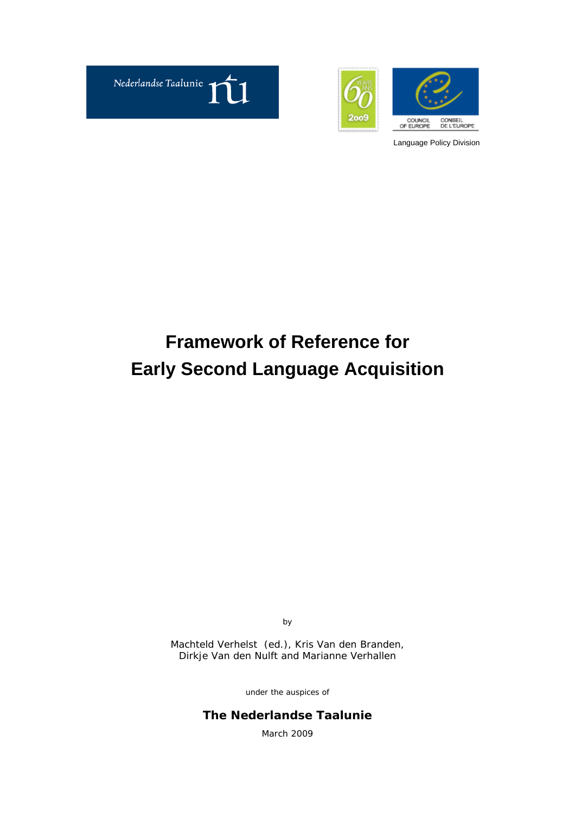



# **Framework of Reference for Early Second Language Acquisition**

by

Machteld Verhelst (ed.), Kris Van den Branden, Dirkje Van den Nulft and Marianne Verhallen

under the auspices of

**The Nederlandse Taalunie** March 2009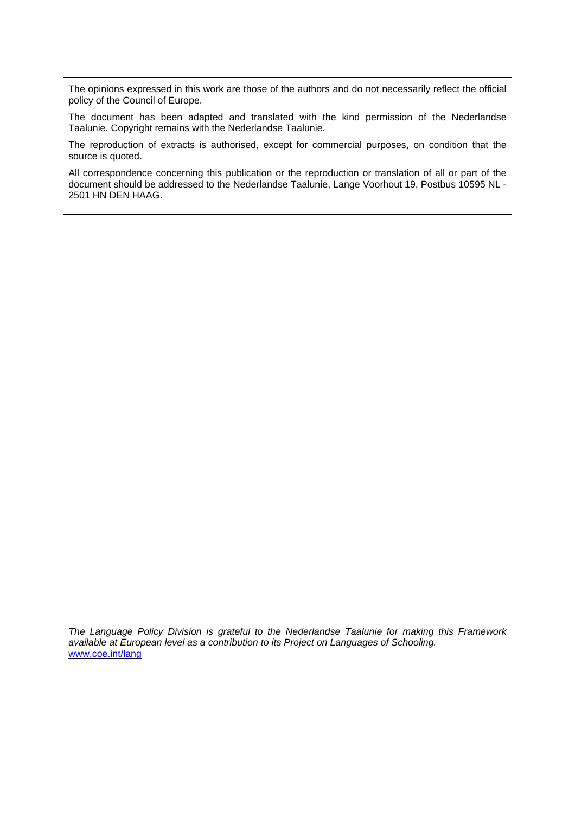The opinions expressed in this work are those of the authors and do not necessarily reflect the official policy of the Council of Europe.

The document has been adapted and translated with the kind permission of the Nederlandse Taalunie. Copyright remains with the Nederlandse Taalunie.

The reproduction of extracts is authorised, except for commercial purposes, on condition that the source is quoted.

All correspondence concerning this publication or the reproduction or translation of all or part of the document should be addressed to the Nederlandse Taalunie, Lange Voorhout 19, Postbus 10595 NL - 2501 HN DEN HAAG.

*The Language Policy Division is grateful to the Nederlandse Taalunie for making this Framework available at European level as a contribution to its Project on Languages of Schooling.*  [www.coe.int/lang](http://www.coe.int/lang)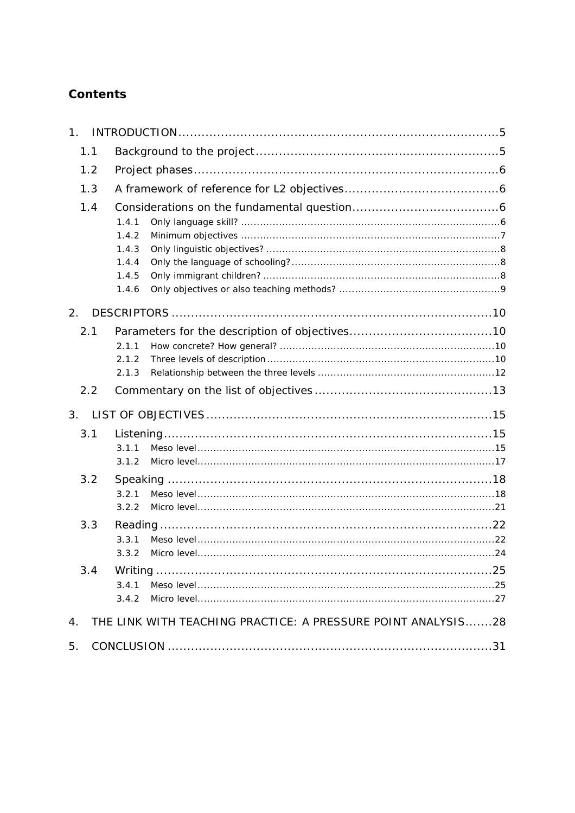# Contents

| 1 <sub>1</sub> |                                                              |  |
|----------------|--------------------------------------------------------------|--|
| 1.1            |                                                              |  |
| 1.2            |                                                              |  |
| 1.3            |                                                              |  |
| 1.4            | 1.4.1<br>1.4.2<br>1.4.3<br>1.4.4<br>1.4.5<br>1.4.6           |  |
| 2.             |                                                              |  |
| 2.1<br>2.2     | 2.1.1<br>2.1.2<br>2.1.3                                      |  |
| 3 <sub>1</sub> |                                                              |  |
| 3.1            | 3.1.1<br>3.1.2                                               |  |
| 3.2            | 3.2.1<br>3.2.2                                               |  |
| 3.3            | 3.3.1<br>3.3.2                                               |  |
| 3.4            | 3.4.1<br>3.4.2                                               |  |
| $\mathbf 4$ .  | THE LINK WITH TEACHING PRACTICE: A PRESSURE POINT ANALYSIS28 |  |
| 5.             |                                                              |  |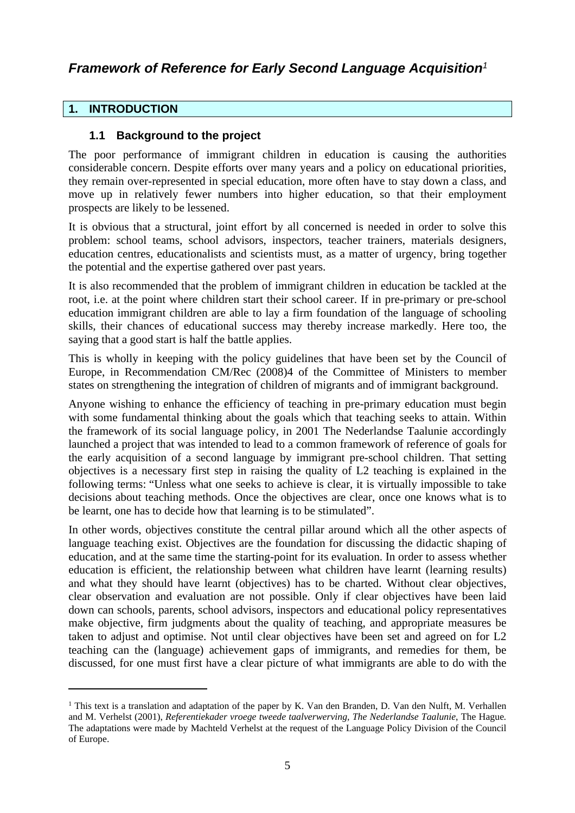# *Framework of Reference for Early Second Language Acquisition<sup>1</sup>*

# <span id="page-4-0"></span>**1. INTRODUCTION**

# <span id="page-4-1"></span>**1.1 Background to the project**

The poor performance of immigrant children in education is causing the authorities considerable concern. Despite efforts over many years and a policy on educational priorities, they remain over-represented in special education, more often have to stay down a class, and move up in relatively fewer numbers into higher education, so that their employment prospects are likely to be lessened.

It is obvious that a structural, joint effort by all concerned is needed in order to solve this problem: school teams, school advisors, inspectors, teacher trainers, materials designers, education centres, educationalists and scientists must, as a matter of urgency, bring together the potential and the expertise gathered over past years.

It is also recommended that the problem of immigrant children in education be tackled at the root, i.e. at the point where children start their school career. If in pre-primary or pre-school education immigrant children are able to lay a firm foundation of the language of schooling skills, their chances of educational success may thereby increase markedly. Here too, the saying that a good start is half the battle applies.

This is wholly in keeping with the policy guidelines that have been set by the Council of Europe, in Recommendation CM/Rec (2008)4 of the Committee of Ministers to member states on strengthening the integration of children of migrants and of immigrant background.

Anyone wishing to enhance the efficiency of teaching in pre-primary education must begin with some fundamental thinking about the goals which that teaching seeks to attain. Within the framework of its social language policy, in 2001 The Nederlandse Taalunie accordingly launched a project that was intended to lead to a common framework of reference of goals for the early acquisition of a second language by immigrant pre-school children. That setting objectives is a necessary first step in raising the quality of L2 teaching is explained in the following terms: "Unless what one seeks to achieve is clear, it is virtually impossible to take decisions about teaching methods. Once the objectives are clear, once one knows what is to be learnt, one has to decide how that learning is to be stimulated".

In other words, objectives constitute the central pillar around which all the other aspects of language teaching exist. Objectives are the foundation for discussing the didactic shaping of education, and at the same time the starting-point for its evaluation. In order to assess whether education is efficient, the relationship between what children have learnt (learning results) and what they should have learnt (objectives) has to be charted. Without clear objectives, clear observation and evaluation are not possible. Only if clear objectives have been laid down can schools, parents, school advisors, inspectors and educational policy representatives make objective, firm judgments about the quality of teaching, and appropriate measures be taken to adjust and optimise. Not until clear objectives have been set and agreed on for L2 teaching can the (language) achievement gaps of immigrants, and remedies for them, be discussed, for one must first have a clear picture of what immigrants are able to do with the

<sup>&</sup>lt;sup>1</sup> This text is a translation and adaptation of the paper by K. Van den Branden, D. Van den Nulft, M. Verhallen and M. Verhelst (2001), *Referentiekader vroege tweede taalverwerving, The Nederlandse Taalunie*, The Hague*.* The adaptations were made by Machteld Verhelst at the request of the Language Policy Division of the Council of Europe.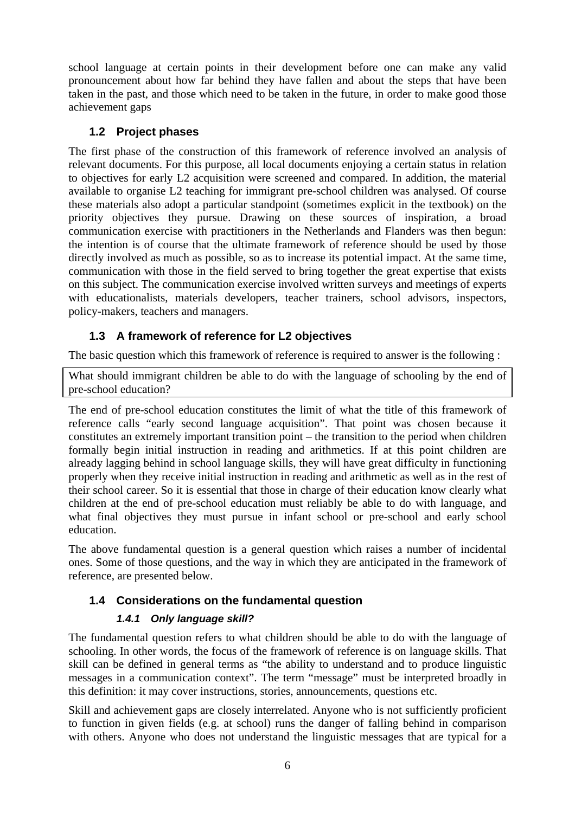school language at certain points in their development before one can make any valid pronouncement about how far behind they have fallen and about the steps that have been taken in the past, and those which need to be taken in the future, in order to make good those achievement gaps

# <span id="page-5-0"></span>**1.2 Project phases**

The first phase of the construction of this framework of reference involved an analysis of relevant documents. For this purpose, all local documents enjoying a certain status in relation to objectives for early L2 acquisition were screened and compared. In addition, the material available to organise L2 teaching for immigrant pre-school children was analysed. Of course these materials also adopt a particular standpoint (sometimes explicit in the textbook) on the priority objectives they pursue. Drawing on these sources of inspiration, a broad communication exercise with practitioners in the Netherlands and Flanders was then begun: the intention is of course that the ultimate framework of reference should be used by those directly involved as much as possible, so as to increase its potential impact. At the same time, communication with those in the field served to bring together the great expertise that exists on this subject. The communication exercise involved written surveys and meetings of experts with educationalists, materials developers, teacher trainers, school advisors, inspectors, policy-makers, teachers and managers.

# <span id="page-5-1"></span>**1.3 A framework of reference for L2 objectives**

The basic question which this framework of reference is required to answer is the following :

What should immigrant children be able to do with the language of schooling by the end of pre-school education?

The end of pre-school education constitutes the limit of what the title of this framework of reference calls "early second language acquisition". That point was chosen because it constitutes an extremely important transition point – the transition to the period when children formally begin initial instruction in reading and arithmetics. If at this point children are already lagging behind in school language skills, they will have great difficulty in functioning properly when they receive initial instruction in reading and arithmetic as well as in the rest of their school career. So it is essential that those in charge of their education know clearly what children at the end of pre-school education must reliably be able to do with language, and what final objectives they must pursue in infant school or pre-school and early school education.

The above fundamental question is a general question which raises a number of incidental ones. Some of those questions, and the way in which they are anticipated in the framework of reference, are presented below.

# <span id="page-5-2"></span>**1.4 Considerations on the fundamental question**

## <span id="page-5-3"></span>*1.4.1 Only language skill?*

The fundamental question refers to what children should be able to do with the language of schooling. In other words, the focus of the framework of reference is on language skills. That skill can be defined in general terms as "the ability to understand and to produce linguistic messages in a communication context". The term "message" must be interpreted broadly in this definition: it may cover instructions, stories, announcements, questions etc.

Skill and achievement gaps are closely interrelated. Anyone who is not sufficiently proficient to function in given fields (e.g. at school) runs the danger of falling behind in comparison with others. Anyone who does not understand the linguistic messages that are typical for a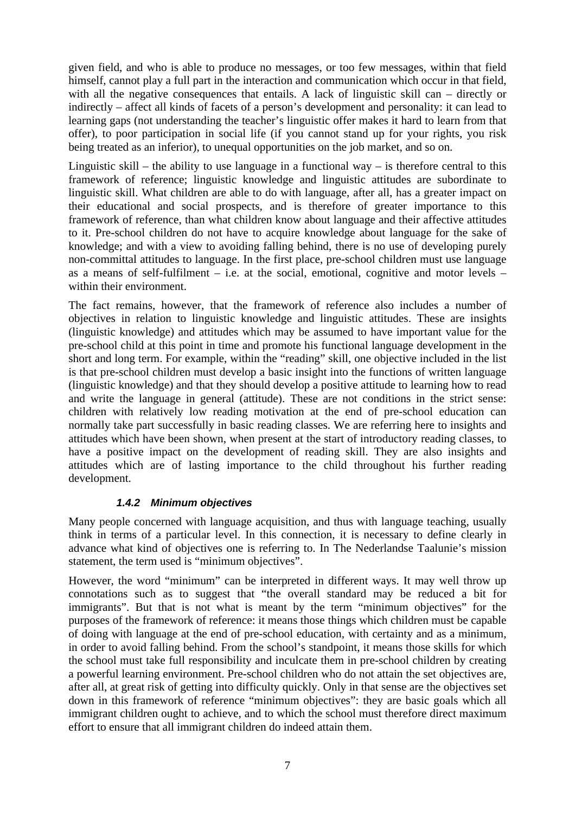given field, and who is able to produce no messages, or too few messages, within that field himself, cannot play a full part in the interaction and communication which occur in that field, with all the negative consequences that entails. A lack of linguistic skill can – directly or indirectly – affect all kinds of facets of a person's development and personality: it can lead to learning gaps (not understanding the teacher's linguistic offer makes it hard to learn from that offer), to poor participation in social life (if you cannot stand up for your rights, you risk being treated as an inferior), to unequal opportunities on the job market, and so on.

Linguistic skill – the ability to use language in a functional way – is therefore central to this framework of reference; linguistic knowledge and linguistic attitudes are subordinate to linguistic skill. What children are able to do with language, after all, has a greater impact on their educational and social prospects, and is therefore of greater importance to this framework of reference, than what children know about language and their affective attitudes to it. Pre-school children do not have to acquire knowledge about language for the sake of knowledge; and with a view to avoiding falling behind, there is no use of developing purely non-committal attitudes to language. In the first place, pre-school children must use language as a means of self-fulfilment – i.e. at the social, emotional, cognitive and motor levels – within their environment.

The fact remains, however, that the framework of reference also includes a number of objectives in relation to linguistic knowledge and linguistic attitudes. These are insights (linguistic knowledge) and attitudes which may be assumed to have important value for the pre-school child at this point in time and promote his functional language development in the short and long term. For example, within the "reading" skill, one objective included in the list is that pre-school children must develop a basic insight into the functions of written language (linguistic knowledge) and that they should develop a positive attitude to learning how to read and write the language in general (attitude). These are not conditions in the strict sense: children with relatively low reading motivation at the end of pre-school education can normally take part successfully in basic reading classes. We are referring here to insights and attitudes which have been shown, when present at the start of introductory reading classes, to have a positive impact on the development of reading skill. They are also insights and attitudes which are of lasting importance to the child throughout his further reading development.

## <span id="page-6-0"></span>*1.4.2 Minimum objectives*

Many people concerned with language acquisition, and thus with language teaching, usually think in terms of a particular level. In this connection, it is necessary to define clearly in advance what kind of objectives one is referring to. In The Nederlandse Taalunie's mission statement, the term used is "minimum objectives".

However, the word "minimum" can be interpreted in different ways. It may well throw up connotations such as to suggest that "the overall standard may be reduced a bit for immigrants". But that is not what is meant by the term "minimum objectives" for the purposes of the framework of reference: it means those things which children must be capable of doing with language at the end of pre-school education, with certainty and as a minimum, in order to avoid falling behind. From the school's standpoint, it means those skills for which the school must take full responsibility and inculcate them in pre-school children by creating a powerful learning environment. Pre-school children who do not attain the set objectives are, after all, at great risk of getting into difficulty quickly. Only in that sense are the objectives set down in this framework of reference "minimum objectives": they are basic goals which all immigrant children ought to achieve, and to which the school must therefore direct maximum effort to ensure that all immigrant children do indeed attain them.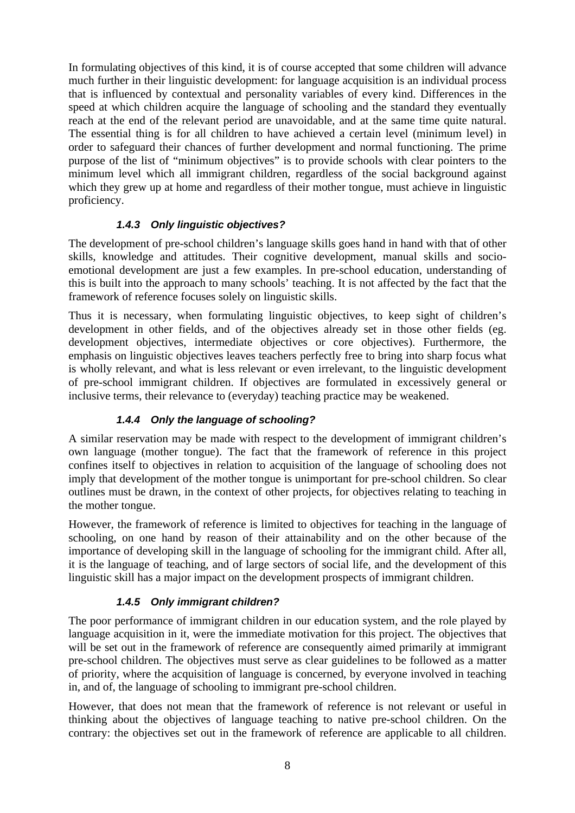In formulating objectives of this kind, it is of course accepted that some children will advance much further in their linguistic development: for language acquisition is an individual process that is influenced by contextual and personality variables of every kind. Differences in the speed at which children acquire the language of schooling and the standard they eventually reach at the end of the relevant period are unavoidable, and at the same time quite natural. The essential thing is for all children to have achieved a certain level (minimum level) in order to safeguard their chances of further development and normal functioning. The prime purpose of the list of "minimum objectives" is to provide schools with clear pointers to the minimum level which all immigrant children, regardless of the social background against which they grew up at home and regardless of their mother tongue, must achieve in linguistic proficiency.

## <span id="page-7-0"></span>*1.4.3 Only linguistic objectives?*

The development of pre-school children's language skills goes hand in hand with that of other skills, knowledge and attitudes. Their cognitive development, manual skills and socioemotional development are just a few examples. In pre-school education, understanding of this is built into the approach to many schools' teaching. It is not affected by the fact that the framework of reference focuses solely on linguistic skills.

Thus it is necessary, when formulating linguistic objectives, to keep sight of children's development in other fields, and of the objectives already set in those other fields (eg. development objectives, intermediate objectives or core objectives). Furthermore, the emphasis on linguistic objectives leaves teachers perfectly free to bring into sharp focus what is wholly relevant, and what is less relevant or even irrelevant, to the linguistic development of pre-school immigrant children. If objectives are formulated in excessively general or inclusive terms, their relevance to (everyday) teaching practice may be weakened.

## <span id="page-7-1"></span>*1.4.4 Only the language of schooling?*

A similar reservation may be made with respect to the development of immigrant children's own language (mother tongue). The fact that the framework of reference in this project confines itself to objectives in relation to acquisition of the language of schooling does not imply that development of the mother tongue is unimportant for pre-school children. So clear outlines must be drawn, in the context of other projects, for objectives relating to teaching in the mother tongue.

However, the framework of reference is limited to objectives for teaching in the language of schooling, on one hand by reason of their attainability and on the other because of the importance of developing skill in the language of schooling for the immigrant child. After all, it is the language of teaching, and of large sectors of social life, and the development of this linguistic skill has a major impact on the development prospects of immigrant children.

## <span id="page-7-2"></span>*1.4.5 Only immigrant children?*

The poor performance of immigrant children in our education system, and the role played by language acquisition in it, were the immediate motivation for this project. The objectives that will be set out in the framework of reference are consequently aimed primarily at immigrant pre-school children. The objectives must serve as clear guidelines to be followed as a matter of priority, where the acquisition of language is concerned, by everyone involved in teaching in, and of, the language of schooling to immigrant pre-school children.

However, that does not mean that the framework of reference is not relevant or useful in thinking about the objectives of language teaching to native pre-school children. On the contrary: the objectives set out in the framework of reference are applicable to all children.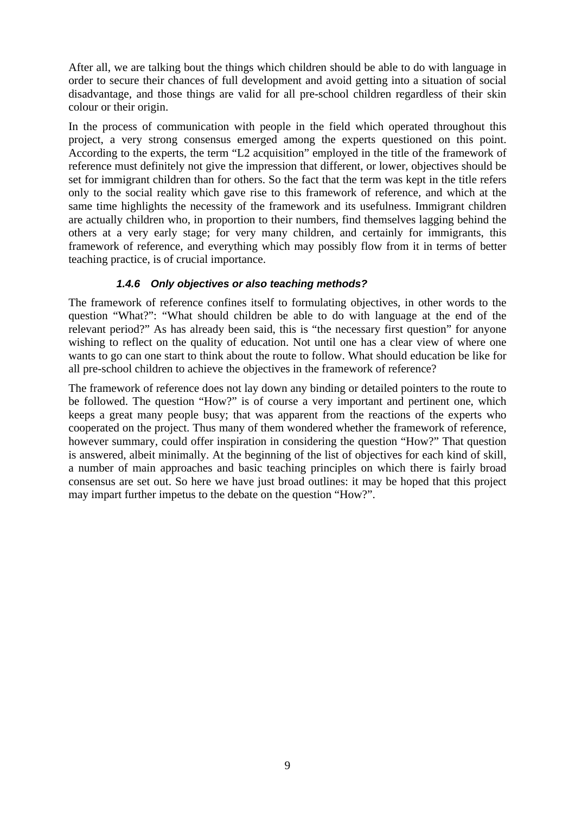After all, we are talking bout the things which children should be able to do with language in order to secure their chances of full development and avoid getting into a situation of social disadvantage, and those things are valid for all pre-school children regardless of their skin colour or their origin.

In the process of communication with people in the field which operated throughout this project, a very strong consensus emerged among the experts questioned on this point. According to the experts, the term "L2 acquisition" employed in the title of the framework of reference must definitely not give the impression that different, or lower, objectives should be set for immigrant children than for others. So the fact that the term was kept in the title refers only to the social reality which gave rise to this framework of reference, and which at the same time highlights the necessity of the framework and its usefulness. Immigrant children are actually children who, in proportion to their numbers, find themselves lagging behind the others at a very early stage; for very many children, and certainly for immigrants, this framework of reference, and everything which may possibly flow from it in terms of better teaching practice, is of crucial importance.

#### <span id="page-8-0"></span>*1.4.6 Only objectives or also teaching methods?*

The framework of reference confines itself to formulating objectives, in other words to the question "What?": "What should children be able to do with language at the end of the relevant period?" As has already been said, this is "the necessary first question" for anyone wishing to reflect on the quality of education. Not until one has a clear view of where one wants to go can one start to think about the route to follow. What should education be like for all pre-school children to achieve the objectives in the framework of reference?

The framework of reference does not lay down any binding or detailed pointers to the route to be followed. The question "How?" is of course a very important and pertinent one, which keeps a great many people busy; that was apparent from the reactions of the experts who cooperated on the project. Thus many of them wondered whether the framework of reference, however summary, could offer inspiration in considering the question "How?" That question is answered, albeit minimally. At the beginning of the list of objectives for each kind of skill, a number of main approaches and basic teaching principles on which there is fairly broad consensus are set out. So here we have just broad outlines: it may be hoped that this project may impart further impetus to the debate on the question "How?".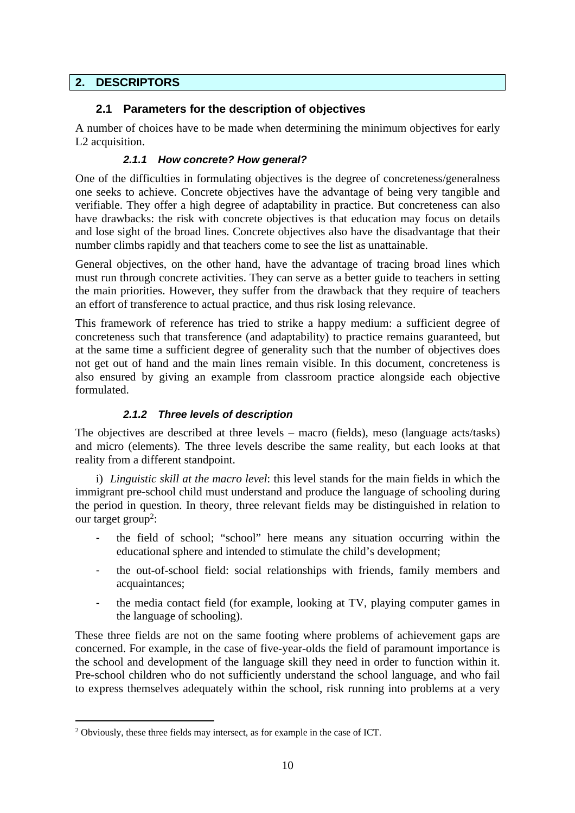## <span id="page-9-0"></span>**2. DESCRIPTORS**

## <span id="page-9-1"></span>**2.1 Parameters for the description of objectives**

A number of choices have to be made when determining the minimum objectives for early L2 acquisition.

#### <span id="page-9-2"></span>*2.1.1 How concrete? How general?*

One of the difficulties in formulating objectives is the degree of concreteness/generalness one seeks to achieve. Concrete objectives have the advantage of being very tangible and verifiable. They offer a high degree of adaptability in practice. But concreteness can also have drawbacks: the risk with concrete objectives is that education may focus on details and lose sight of the broad lines. Concrete objectives also have the disadvantage that their number climbs rapidly and that teachers come to see the list as unattainable.

General objectives, on the other hand, have the advantage of tracing broad lines which must run through concrete activities. They can serve as a better guide to teachers in setting the main priorities. However, they suffer from the drawback that they require of teachers an effort of transference to actual practice, and thus risk losing relevance.

This framework of reference has tried to strike a happy medium: a sufficient degree of concreteness such that transference (and adaptability) to practice remains guaranteed, but at the same time a sufficient degree of generality such that the number of objectives does not get out of hand and the main lines remain visible. In this document, concreteness is also ensured by giving an example from classroom practice alongside each objective formulated.

#### <span id="page-9-3"></span>*2.1.2 Three levels of description*

The objectives are described at three levels – macro (fields), meso (language acts/tasks) and micro (elements). The three levels describe the same reality, but each looks at that reality from a different standpoint.

i) *Linguistic skill at the macro level*: this level stands for the main fields in which the immigrant pre-school child must understand and produce the language of schooling during the period in question. In theory, three relevant fields may be distinguished in relation to our target group<sup>2</sup>:

- the field of school; "school" here means any situation occurring within the educational sphere and intended to stimulate the child's development;
- the out-of-school field: social relationships with friends, family members and acquaintances;
- the media contact field (for example, looking at TV, playing computer games in the language of schooling).

These three fields are not on the same footing where problems of achievement gaps are concerned. For example, in the case of five-year-olds the field of paramount importance is the school and development of the language skill they need in order to function within it. Pre-school children who do not sufficiently understand the school language, and who fail to express themselves adequately within the school, risk running into problems at a very

<sup>&</sup>lt;sup>2</sup> Obviously, these three fields may intersect, as for example in the case of ICT.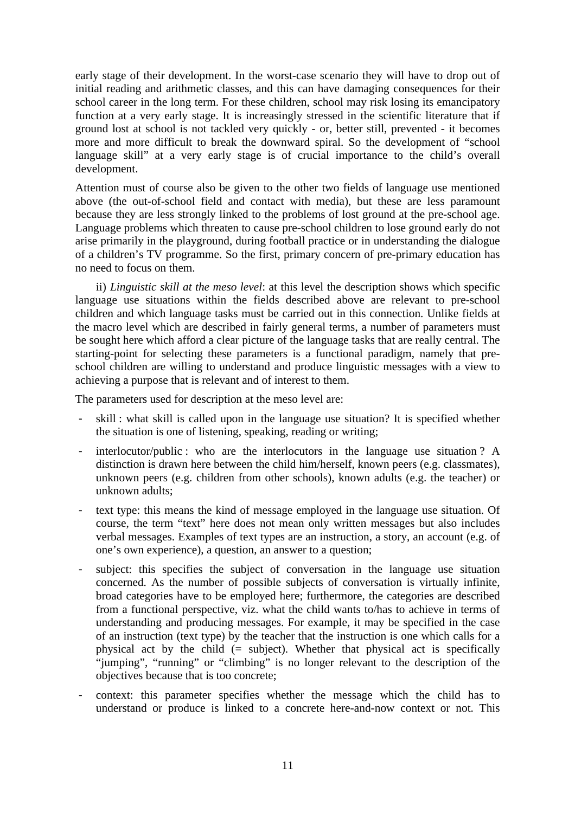early stage of their development. In the worst-case scenario they will have to drop out of initial reading and arithmetic classes, and this can have damaging consequences for their school career in the long term. For these children, school may risk losing its emancipatory function at a very early stage. It is increasingly stressed in the scientific literature that if ground lost at school is not tackled very quickly - or, better still, prevented - it becomes more and more difficult to break the downward spiral. So the development of "school language skill" at a very early stage is of crucial importance to the child's overall development.

Attention must of course also be given to the other two fields of language use mentioned above (the out-of-school field and contact with media), but these are less paramount because they are less strongly linked to the problems of lost ground at the pre-school age. Language problems which threaten to cause pre-school children to lose ground early do not arise primarily in the playground, during football practice or in understanding the dialogue of a children's TV programme. So the first, primary concern of pre-primary education has no need to focus on them.

ii) *Linguistic skill at the meso level*: at this level the description shows which specific language use situations within the fields described above are relevant to pre-school children and which language tasks must be carried out in this connection. Unlike fields at the macro level which are described in fairly general terms, a number of parameters must be sought here which afford a clear picture of the language tasks that are really central. The starting-point for selecting these parameters is a functional paradigm, namely that preschool children are willing to understand and produce linguistic messages with a view to achieving a purpose that is relevant and of interest to them.

The parameters used for description at the meso level are:

- skill : what skill is called upon in the language use situation? It is specified whether the situation is one of listening, speaking, reading or writing;
- interlocutor/public : who are the interlocutors in the language use situation ? A distinction is drawn here between the child him/herself, known peers (e.g. classmates), unknown peers (e.g. children from other schools), known adults (e.g. the teacher) or unknown adults;
- text type: this means the kind of message employed in the language use situation. Of course, the term "text" here does not mean only written messages but also includes verbal messages. Examples of text types are an instruction, a story, an account (e.g. of one's own experience), a question, an answer to a question;
- subject: this specifies the subject of conversation in the language use situation concerned. As the number of possible subjects of conversation is virtually infinite, broad categories have to be employed here; furthermore, the categories are described from a functional perspective, viz. what the child wants to/has to achieve in terms of understanding and producing messages. For example, it may be specified in the case of an instruction (text type) by the teacher that the instruction is one which calls for a physical act by the child (= subject). Whether that physical act is specifically "jumping", "running" or "climbing" is no longer relevant to the description of the objectives because that is too concrete;
- context: this parameter specifies whether the message which the child has to understand or produce is linked to a concrete here-and-now context or not. This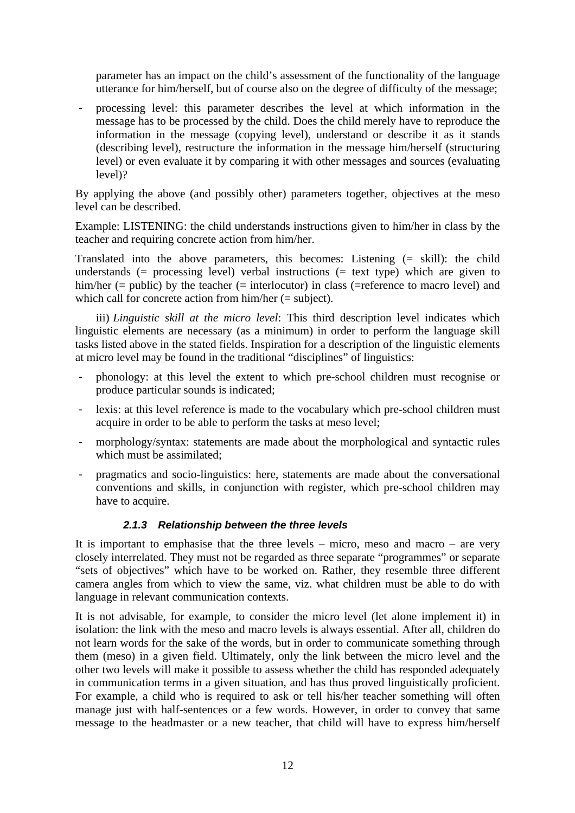parameter has an impact on the child's assessment of the functionality of the language utterance for him/herself, but of course also on the degree of difficulty of the message;

processing level: this parameter describes the level at which information in the message has to be processed by the child. Does the child merely have to reproduce the information in the message (copying level), understand or describe it as it stands (describing level), restructure the information in the message him/herself (structuring level) or even evaluate it by comparing it with other messages and sources (evaluating level)?

By applying the above (and possibly other) parameters together, objectives at the meso level can be described.

Example: LISTENING: the child understands instructions given to him/her in class by the teacher and requiring concrete action from him/her.

Translated into the above parameters, this becomes: Listening (= skill): the child understands (= processing level) verbal instructions (= text type) which are given to him/her (= public) by the teacher (= interlocutor) in class (=reference to macro level) and which call for concrete action from him/her (= subject).

iii) *Linguistic skill at the micro level*: This third description level indicates which linguistic elements are necessary (as a minimum) in order to perform the language skill tasks listed above in the stated fields. Inspiration for a description of the linguistic elements at micro level may be found in the traditional "disciplines" of linguistics:

- phonology: at this level the extent to which pre-school children must recognise or produce particular sounds is indicated;
- lexis: at this level reference is made to the vocabulary which pre-school children must acquire in order to be able to perform the tasks at meso level;
- morphology/syntax: statements are made about the morphological and syntactic rules which must be assimilated;
- pragmatics and socio-linguistics: here, statements are made about the conversational conventions and skills, in conjunction with register, which pre-school children may have to acquire.

#### <span id="page-11-0"></span>*2.1.3 Relationship between the three levels*

It is important to emphasise that the three levels – micro, meso and macro – are very closely interrelated. They must not be regarded as three separate "programmes" or separate "sets of objectives" which have to be worked on. Rather, they resemble three different camera angles from which to view the same, viz. what children must be able to do with language in relevant communication contexts.

It is not advisable, for example, to consider the micro level (let alone implement it) in isolation: the link with the meso and macro levels is always essential. After all, children do not learn words for the sake of the words, but in order to communicate something through them (meso) in a given field. Ultimately, only the link between the micro level and the other two levels will make it possible to assess whether the child has responded adequately in communication terms in a given situation, and has thus proved linguistically proficient. For example, a child who is required to ask or tell his/her teacher something will often manage just with half-sentences or a few words. However, in order to convey that same message to the headmaster or a new teacher, that child will have to express him/herself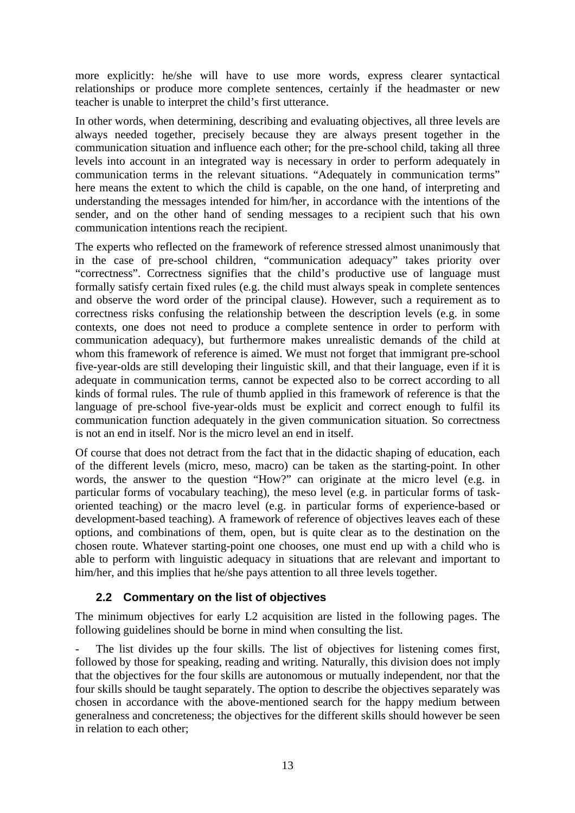more explicitly: he/she will have to use more words, express clearer syntactical relationships or produce more complete sentences, certainly if the headmaster or new teacher is unable to interpret the child's first utterance.

In other words, when determining, describing and evaluating objectives, all three levels are always needed together, precisely because they are always present together in the communication situation and influence each other; for the pre-school child, taking all three levels into account in an integrated way is necessary in order to perform adequately in communication terms in the relevant situations. "Adequately in communication terms" here means the extent to which the child is capable, on the one hand, of interpreting and understanding the messages intended for him/her, in accordance with the intentions of the sender, and on the other hand of sending messages to a recipient such that his own communication intentions reach the recipient.

The experts who reflected on the framework of reference stressed almost unanimously that in the case of pre-school children, "communication adequacy" takes priority over "correctness". Correctness signifies that the child's productive use of language must formally satisfy certain fixed rules (e.g. the child must always speak in complete sentences and observe the word order of the principal clause). However, such a requirement as to correctness risks confusing the relationship between the description levels (e.g. in some contexts, one does not need to produce a complete sentence in order to perform with communication adequacy), but furthermore makes unrealistic demands of the child at whom this framework of reference is aimed. We must not forget that immigrant pre-school five-year-olds are still developing their linguistic skill, and that their language, even if it is adequate in communication terms, cannot be expected also to be correct according to all kinds of formal rules. The rule of thumb applied in this framework of reference is that the language of pre-school five-year-olds must be explicit and correct enough to fulfil its communication function adequately in the given communication situation. So correctness is not an end in itself. Nor is the micro level an end in itself.

Of course that does not detract from the fact that in the didactic shaping of education, each of the different levels (micro, meso, macro) can be taken as the starting-point. In other words, the answer to the question "How?" can originate at the micro level (e.g. in particular forms of vocabulary teaching), the meso level (e.g. in particular forms of taskoriented teaching) or the macro level (e.g. in particular forms of experience-based or development-based teaching). A framework of reference of objectives leaves each of these options, and combinations of them, open, but is quite clear as to the destination on the chosen route. Whatever starting-point one chooses, one must end up with a child who is able to perform with linguistic adequacy in situations that are relevant and important to him/her, and this implies that he/she pays attention to all three levels together.

# <span id="page-12-0"></span>**2.2 Commentary on the list of objectives**

The minimum objectives for early L2 acquisition are listed in the following pages. The following guidelines should be borne in mind when consulting the list.

The list divides up the four skills. The list of objectives for listening comes first, followed by those for speaking, reading and writing. Naturally, this division does not imply that the objectives for the four skills are autonomous or mutually independent, nor that the four skills should be taught separately. The option to describe the objectives separately was chosen in accordance with the above-mentioned search for the happy medium between generalness and concreteness; the objectives for the different skills should however be seen in relation to each other;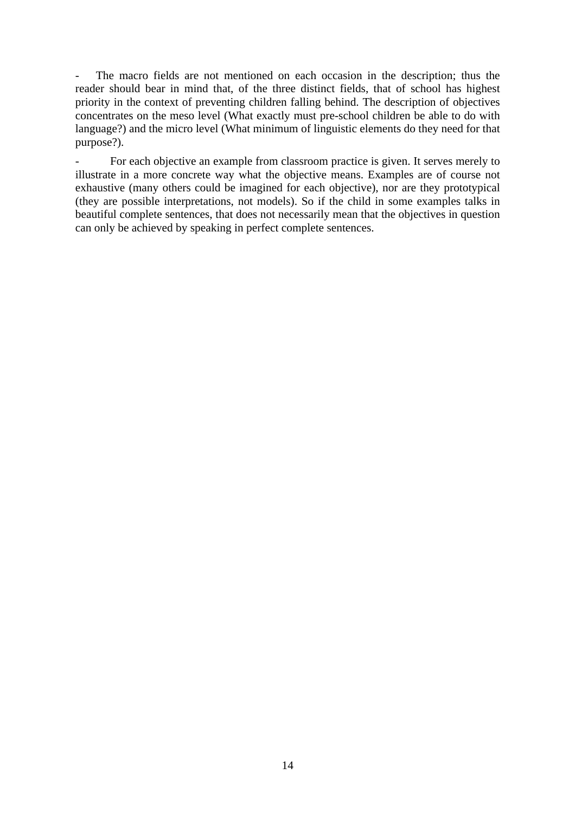The macro fields are not mentioned on each occasion in the description; thus the reader should bear in mind that, of the three distinct fields, that of school has highest priority in the context of preventing children falling behind. The description of objectives concentrates on the meso level (What exactly must pre-school children be able to do with language?) and the micro level (What minimum of linguistic elements do they need for that purpose?).

<span id="page-13-0"></span>For each objective an example from classroom practice is given. It serves merely to illustrate in a more concrete way what the objective means. Examples are of course not exhaustive (many others could be imagined for each objective), nor are they prototypical (they are possible interpretations, not models). So if the child in some examples talks in beautiful complete sentences, that does not necessarily mean that the objectives in question can only be achieved by speaking in perfect complete sentences.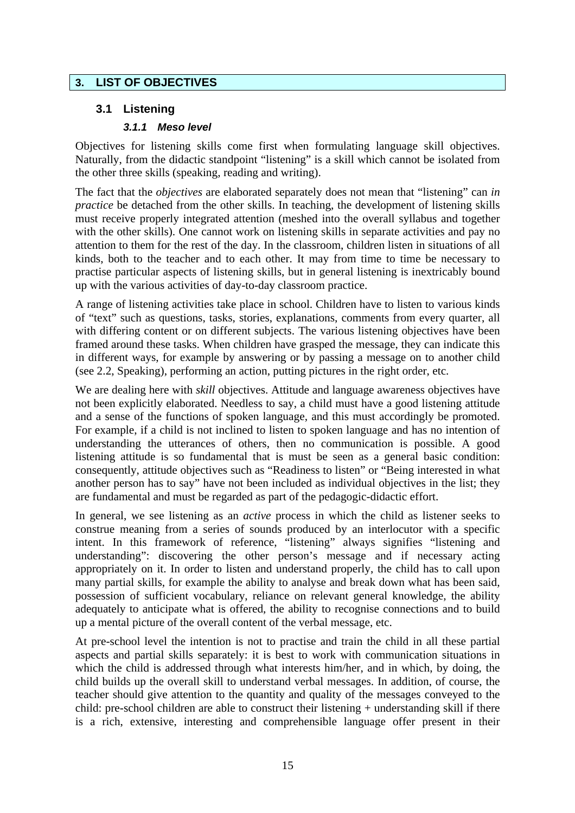# **3. LIST OF OBJECTIVES**

# <span id="page-14-0"></span>**3.1 Listening**

#### <span id="page-14-1"></span>*3.1.1 Meso level*

Objectives for listening skills come first when formulating language skill objectives. Naturally, from the didactic standpoint "listening" is a skill which cannot be isolated from the other three skills (speaking, reading and writing).

The fact that the *objectives* are elaborated separately does not mean that "listening" can *in practice* be detached from the other skills. In teaching, the development of listening skills must receive properly integrated attention (meshed into the overall syllabus and together with the other skills). One cannot work on listening skills in separate activities and pay no attention to them for the rest of the day. In the classroom, children listen in situations of all kinds, both to the teacher and to each other. It may from time to time be necessary to practise particular aspects of listening skills, but in general listening is inextricably bound up with the various activities of day-to-day classroom practice.

A range of listening activities take place in school. Children have to listen to various kinds of "text" such as questions, tasks, stories, explanations, comments from every quarter, all with differing content or on different subjects. The various listening objectives have been framed around these tasks. When children have grasped the message, they can indicate this in different ways, for example by answering or by passing a message on to another child (see 2.2, Speaking), performing an action, putting pictures in the right order, etc.

We are dealing here with *skill* objectives. Attitude and language awareness objectives have not been explicitly elaborated. Needless to say, a child must have a good listening attitude and a sense of the functions of spoken language, and this must accordingly be promoted. For example, if a child is not inclined to listen to spoken language and has no intention of understanding the utterances of others, then no communication is possible. A good listening attitude is so fundamental that is must be seen as a general basic condition: consequently, attitude objectives such as "Readiness to listen" or "Being interested in what another person has to say" have not been included as individual objectives in the list; they are fundamental and must be regarded as part of the pedagogic-didactic effort.

In general, we see listening as an *active* process in which the child as listener seeks to construe meaning from a series of sounds produced by an interlocutor with a specific intent. In this framework of reference, "listening" always signifies "listening and understanding": discovering the other person's message and if necessary acting appropriately on it. In order to listen and understand properly, the child has to call upon many partial skills, for example the ability to analyse and break down what has been said, possession of sufficient vocabulary, reliance on relevant general knowledge, the ability adequately to anticipate what is offered, the ability to recognise connections and to build up a mental picture of the overall content of the verbal message, etc.

At pre-school level the intention is not to practise and train the child in all these partial aspects and partial skills separately: it is best to work with communication situations in which the child is addressed through what interests him/her, and in which, by doing, the child builds up the overall skill to understand verbal messages. In addition, of course, the teacher should give attention to the quantity and quality of the messages conveyed to the child: pre-school children are able to construct their listening + understanding skill if there is a rich, extensive, interesting and comprehensible language offer present in their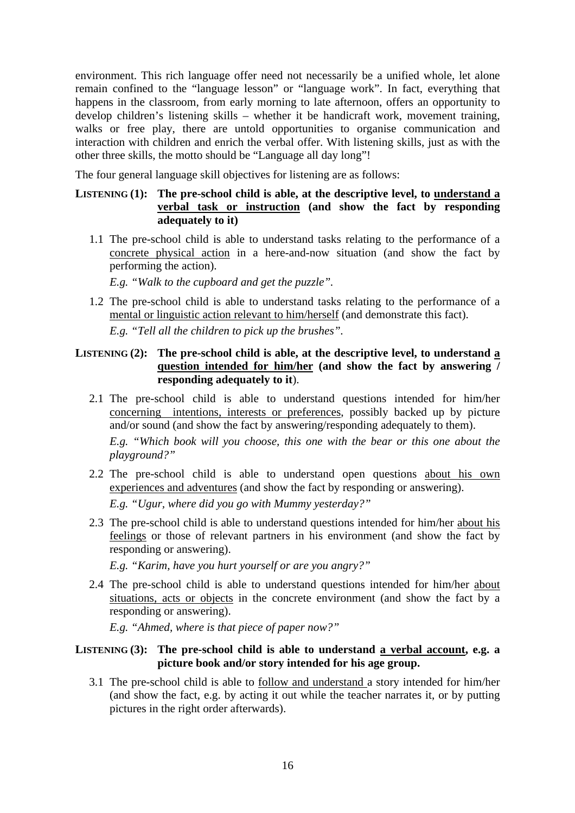environment. This rich language offer need not necessarily be a unified whole, let alone remain confined to the "language lesson" or "language work". In fact, everything that happens in the classroom, from early morning to late afternoon, offers an opportunity to develop children's listening skills – whether it be handicraft work, movement training, walks or free play, there are untold opportunities to organise communication and interaction with children and enrich the verbal offer. With listening skills, just as with the other three skills, the motto should be "Language all day long"!

The four general language skill objectives for listening are as follows:

## LISTENING (1): The pre-school child is able, at the descriptive level, to understand a **verbal task or instruction (and show the fact by responding adequately to it)**

1.1 The pre-school child is able to understand tasks relating to the performance of a concrete physical action in a here-and-now situation (and show the fact by performing the action).

*E.g. "Walk to the cupboard and get the puzzle".* 

1.2 The pre-school child is able to understand tasks relating to the performance of a mental or linguistic action relevant to him/herself (and demonstrate this fact). *E.g. "Tell all the children to pick up the brushes".*

#### LISTENING (2): The pre-school child is able, at the descriptive level, to understand a **question intended for him/her (and show the fact by answering / responding adequately to it**).

2.1 The pre-school child is able to understand questions intended for him/her concerning intentions, interests or preferences, possibly backed up by picture and/or sound (and show the fact by answering/responding adequately to them).

*E.g. "Which book will you choose, this one with the bear or this one about the playground?"*

- 2.2 The pre-school child is able to understand open questions about his own experiences and adventures (and show the fact by responding or answering). *E.g. "Ugur, where did you go with Mummy yesterday?"*
- 2.3 The pre-school child is able to understand questions intended for him/her about his feelings or those of relevant partners in his environment (and show the fact by responding or answering).

*E.g. "Karim, have you hurt yourself or are you angry?"*

2.4 The pre-school child is able to understand questions intended for him/her about situations, acts or objects in the concrete environment (and show the fact by a responding or answering).

*E.g. "Ahmed, where is that piece of paper now?"*

## LISTENING (3): The pre-school child is able to understand a verbal account, e.g. a **picture book and/or story intended for his age group.**

3.1 The pre-school child is able to follow and understand a story intended for him/her (and show the fact, e.g. by acting it out while the teacher narrates it, or by putting pictures in the right order afterwards).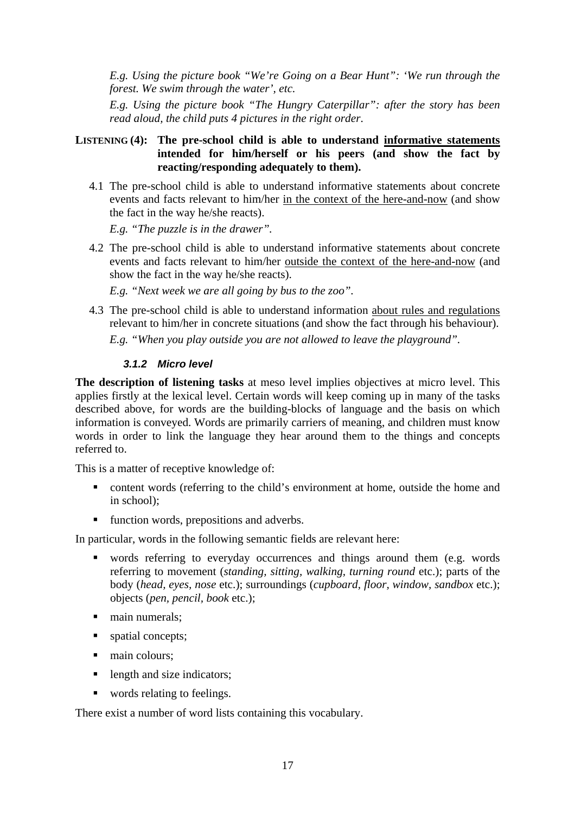*E.g. Using the picture book "We're Going on a Bear Hunt": 'We run through the forest. We swim through the water', etc.*

*E.g. Using the picture book "The Hungry Caterpillar": after the story has been read aloud, the child puts 4 pictures in the right order*.

#### **LISTENING (4):** The pre-school child is able to understand informative statements **intended for him/herself or his peers (and show the fact by reacting/responding adequately to them).**

4.1 The pre-school child is able to understand informative statements about concrete events and facts relevant to him/her in the context of the here-and-now (and show the fact in the way he/she reacts).

*E.g. "The puzzle is in the drawer".*

4.2 The pre-school child is able to understand informative statements about concrete events and facts relevant to him/her outside the context of the here-and-now (and show the fact in the way he/she reacts).

*E.g. "Next week we are all going by bus to the zoo".*

4.3 The pre-school child is able to understand information about rules and regulations relevant to him/her in concrete situations (and show the fact through his behaviour).

*E.g. "When you play outside you are not allowed to leave the playground".*

#### <span id="page-16-0"></span>*3.1.2 Micro level*

**The description of listening tasks** at meso level implies objectives at micro level. This applies firstly at the lexical level. Certain words will keep coming up in many of the tasks described above, for words are the building-blocks of language and the basis on which information is conveyed. Words are primarily carriers of meaning, and children must know words in order to link the language they hear around them to the things and concepts referred to.

This is a matter of receptive knowledge of:

- content words (referring to the child's environment at home, outside the home and in school);
- **function words, prepositions and adverbs.**

In particular, words in the following semantic fields are relevant here:

- words referring to everyday occurrences and things around them (e.g. words referring to movement (*standing, sitting, walking, turning round* etc.); parts of the body (*head, eyes, nose* etc.); surroundings (*cupboard, floor, window, sandbox* etc.); objects (*pen, pencil, book* etc.);
- $\blacksquare$  main numerals;
- spatial concepts;
- $\_$  main colours;
- length and size indicators;
- words relating to feelings.

There exist a number of word lists containing this vocabulary.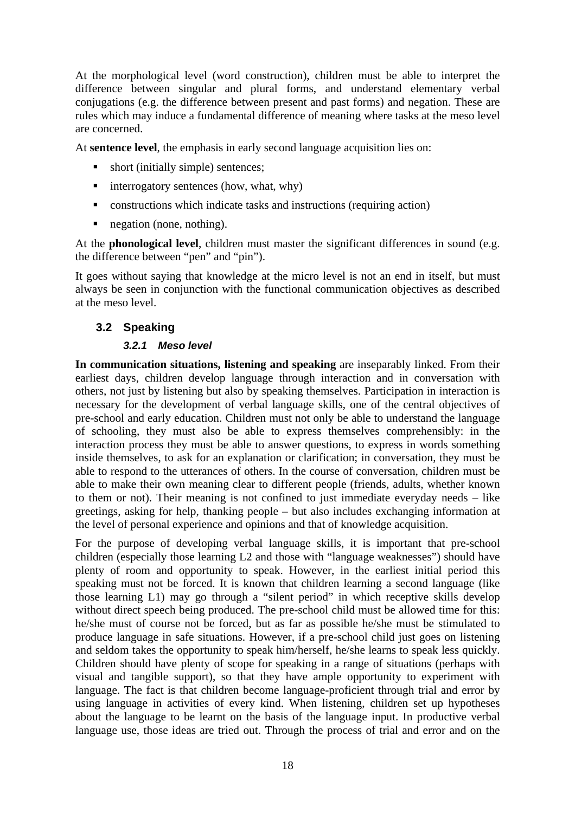At the morphological level (word construction), children must be able to interpret the difference between singular and plural forms, and understand elementary verbal conjugations (e.g. the difference between present and past forms) and negation. These are rules which may induce a fundamental difference of meaning where tasks at the meso level are concerned.

At **sentence level**, the emphasis in early second language acquisition lies on:

- short (initially simple) sentences;
- $\blacksquare$  interrogatory sentences (how, what, why)
- constructions which indicate tasks and instructions (requiring action)
- negation (none, nothing).

At the **phonological level**, children must master the significant differences in sound (e.g. the difference between "pen" and "pin").

It goes without saying that knowledge at the micro level is not an end in itself, but must always be seen in conjunction with the functional communication objectives as described at the meso level.

# <span id="page-17-0"></span>**3.2 Speaking**

## <span id="page-17-1"></span>*3.2.1 Meso level*

**In communication situations, listening and speaking** are inseparably linked. From their earliest days, children develop language through interaction and in conversation with others, not just by listening but also by speaking themselves. Participation in interaction is necessary for the development of verbal language skills, one of the central objectives of pre-school and early education. Children must not only be able to understand the language of schooling, they must also be able to express themselves comprehensibly: in the interaction process they must be able to answer questions, to express in words something inside themselves, to ask for an explanation or clarification; in conversation, they must be able to respond to the utterances of others. In the course of conversation, children must be able to make their own meaning clear to different people (friends, adults, whether known to them or not). Their meaning is not confined to just immediate everyday needs – like greetings, asking for help, thanking people – but also includes exchanging information at the level of personal experience and opinions and that of knowledge acquisition.

For the purpose of developing verbal language skills, it is important that pre-school children (especially those learning L2 and those with "language weaknesses") should have plenty of room and opportunity to speak. However, in the earliest initial period this speaking must not be forced. It is known that children learning a second language (like those learning L1) may go through a "silent period" in which receptive skills develop without direct speech being produced. The pre-school child must be allowed time for this: he/she must of course not be forced, but as far as possible he/she must be stimulated to produce language in safe situations. However, if a pre-school child just goes on listening and seldom takes the opportunity to speak him/herself, he/she learns to speak less quickly. Children should have plenty of scope for speaking in a range of situations (perhaps with visual and tangible support), so that they have ample opportunity to experiment with language. The fact is that children become language-proficient through trial and error by using language in activities of every kind. When listening, children set up hypotheses about the language to be learnt on the basis of the language input. In productive verbal language use, those ideas are tried out. Through the process of trial and error and on the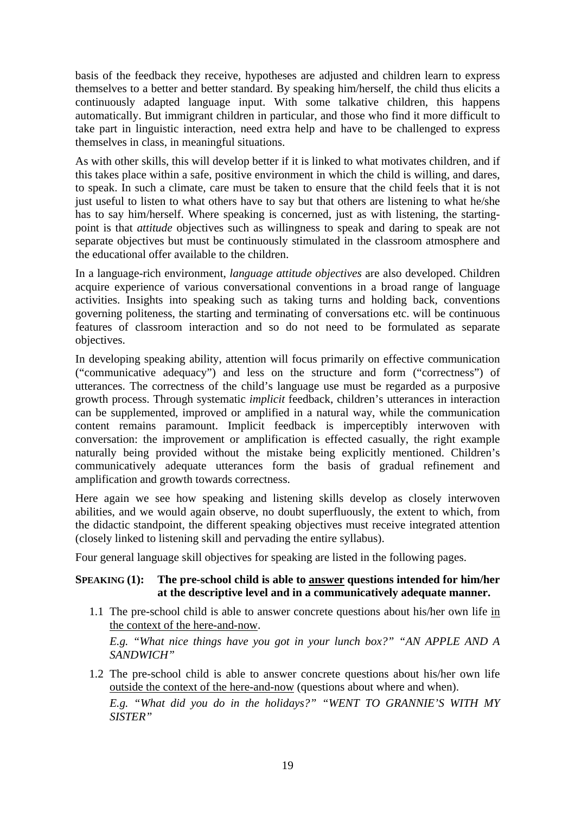basis of the feedback they receive, hypotheses are adjusted and children learn to express themselves to a better and better standard. By speaking him/herself, the child thus elicits a continuously adapted language input. With some talkative children, this happens automatically. But immigrant children in particular, and those who find it more difficult to take part in linguistic interaction, need extra help and have to be challenged to express themselves in class, in meaningful situations.

As with other skills, this will develop better if it is linked to what motivates children, and if this takes place within a safe, positive environment in which the child is willing, and dares, to speak. In such a climate, care must be taken to ensure that the child feels that it is not just useful to listen to what others have to say but that others are listening to what he/she has to say him/herself. Where speaking is concerned, just as with listening, the startingpoint is that *attitude* objectives such as willingness to speak and daring to speak are not separate objectives but must be continuously stimulated in the classroom atmosphere and the educational offer available to the children.

In a language-rich environment, *language attitude objectives* are also developed. Children acquire experience of various conversational conventions in a broad range of language activities. Insights into speaking such as taking turns and holding back, conventions governing politeness, the starting and terminating of conversations etc. will be continuous features of classroom interaction and so do not need to be formulated as separate objectives.

In developing speaking ability, attention will focus primarily on effective communication ("communicative adequacy") and less on the structure and form ("correctness") of utterances. The correctness of the child's language use must be regarded as a purposive growth process. Through systematic *implicit* feedback, children's utterances in interaction can be supplemented, improved or amplified in a natural way, while the communication content remains paramount. Implicit feedback is imperceptibly interwoven with conversation: the improvement or amplification is effected casually, the right example naturally being provided without the mistake being explicitly mentioned. Children's communicatively adequate utterances form the basis of gradual refinement and amplification and growth towards correctness.

Here again we see how speaking and listening skills develop as closely interwoven abilities, and we would again observe, no doubt superfluously, the extent to which, from the didactic standpoint, the different speaking objectives must receive integrated attention (closely linked to listening skill and pervading the entire syllabus).

Four general language skill objectives for speaking are listed in the following pages.

#### **SPEAKING (1): The pre-school child is able to answer questions intended for him/her at the descriptive level and in a communicatively adequate manner.**

1.1 The pre-school child is able to answer concrete questions about his/her own life in the context of the here-and-now.

*E.g. "What nice things have you got in your lunch box?" "AN APPLE AND A SANDWICH"*

1.2 The pre-school child is able to answer concrete questions about his/her own life outside the context of the here-and-now (questions about where and when).

*E.g. "What did you do in the holidays?" "WENT TO GRANNIE'S WITH MY SISTER"*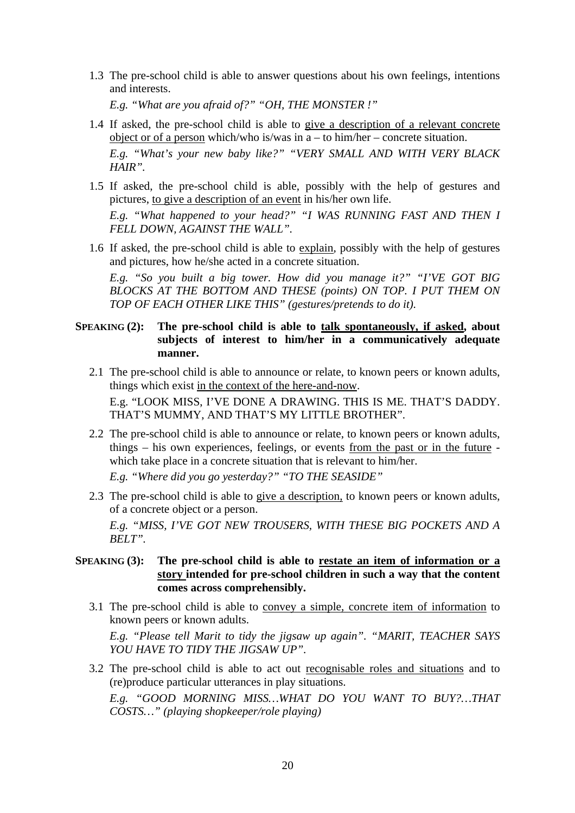1.3 The pre-school child is able to answer questions about his own feelings, intentions and interests.

*E.g. "What are you afraid of?" "OH, THE MONSTER !"*

- 1.4 If asked, the pre-school child is able to give a description of a relevant concrete object or of a person which/who is/was in a – to him/her – concrete situation. *E.g. "What's your new baby like?" "VERY SMALL AND WITH VERY BLACK HAIR".*
- 1.5 If asked, the pre-school child is able, possibly with the help of gestures and pictures, to give a description of an event in his/her own life. *E.g. "What happened to your head?" "I WAS RUNNING FAST AND THEN I FELL DOWN, AGAINST THE WALL".*
- 1.6 If asked, the pre-school child is able to explain, possibly with the help of gestures and pictures, how he/she acted in a concrete situation.

*E.g. "So you built a big tower. How did you manage it?" "I'VE GOT BIG BLOCKS AT THE BOTTOM AND THESE (points) ON TOP. I PUT THEM ON TOP OF EACH OTHER LIKE THIS" (gestures/pretends to do it).*

#### **SPEAKING (2):** The pre-school child is able to talk spontaneously, if asked, about **subjects of interest to him/her in a communicatively adequate manner.**

2.1 The pre-school child is able to announce or relate, to known peers or known adults, things which exist in the context of the here-and-now.

E.g. "LOOK MISS, I'VE DONE A DRAWING. THIS IS ME. THAT'S DADDY. THAT'S MUMMY, AND THAT'S MY LITTLE BROTHER".

2.2 The pre-school child is able to announce or relate, to known peers or known adults, things – his own experiences, feelings, or events from the past or in the future which take place in a concrete situation that is relevant to him/her.

*E.g. "Where did you go yesterday?" "TO THE SEASIDE"* 

2.3 The pre-school child is able to give a description, to known peers or known adults, of a concrete object or a person.

*E.g. "MISS, I'VE GOT NEW TROUSERS, WITH THESE BIG POCKETS AND A BELT".*

#### **SPEAKING (3): The pre-school child is able to restate an item of information or a story intended for pre-school children in such a way that the content comes across comprehensibly.**

3.1 The pre-school child is able to convey a simple, concrete item of information to known peers or known adults.

*E.g. "Please tell Marit to tidy the jigsaw up again". "MARIT, TEACHER SAYS YOU HAVE TO TIDY THE JIGSAW UP".*

3.2 The pre-school child is able to act out recognisable roles and situations and to (re)produce particular utterances in play situations.

*E.g. "GOOD MORNING MISS…WHAT DO YOU WANT TO BUY?…THAT COSTS…" (playing shopkeeper/role playing)*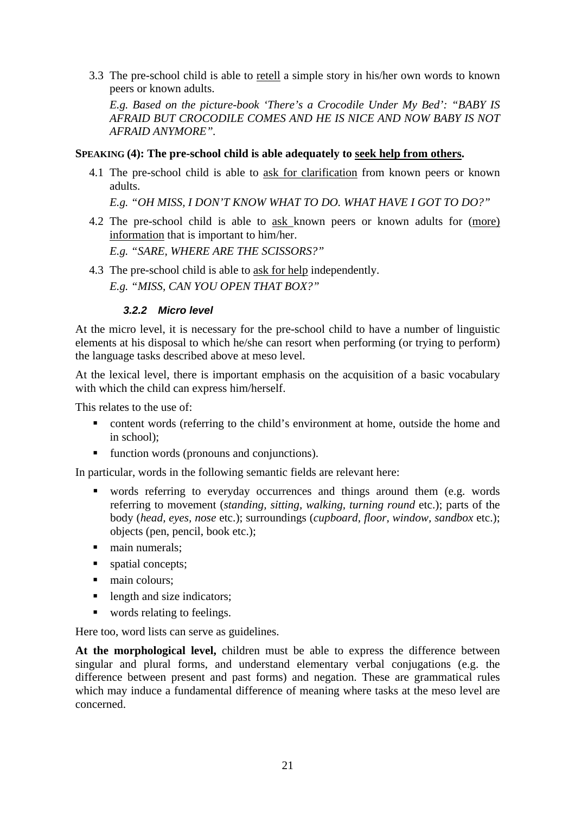3.3 The pre-school child is able to retell a simple story in his/her own words to known peers or known adults.

*E.g. Based on the picture-book 'There's a Crocodile Under My Bed': "BABY IS AFRAID BUT CROCODILE COMES AND HE IS NICE AND NOW BABY IS NOT AFRAID ANYMORE".*

#### **SPEAKING (4): The pre-school child is able adequately to seek help from others.**

4.1 The pre-school child is able to ask for clarification from known peers or known adults.

*E.g. "OH MISS, I DON'T KNOW WHAT TO DO. WHAT HAVE I GOT TO DO?"*

4.2 The pre-school child is able to ask known peers or known adults for (more) information that is important to him/her.

*E.g. "SARE, WHERE ARE THE SCISSORS?"*

4.3 The pre-school child is able to ask for help independently. *E.g. "MISS, CAN YOU OPEN THAT BOX?"*

#### <span id="page-20-0"></span>*3.2.2 Micro level*

At the micro level, it is necessary for the pre-school child to have a number of linguistic elements at his disposal to which he/she can resort when performing (or trying to perform) the language tasks described above at meso level.

At the lexical level, there is important emphasis on the acquisition of a basic vocabulary with which the child can express him/herself.

This relates to the use of:

- content words (referring to the child's environment at home, outside the home and in school);
- function words (pronouns and conjunctions).

In particular, words in the following semantic fields are relevant here:

- words referring to everyday occurrences and things around them (e.g. words referring to movement (*standing, sitting, walking, turning round* etc.); parts of the body (*head, eyes, nose* etc.); surroundings (*cupboard, floor, window, sandbox* etc.); objects (pen, pencil, book etc.);
- $\blacksquare$  main numerals:
- **spatial concepts;**
- $\blacksquare$  main colours:
- length and size indicators;
- words relating to feelings.

Here too, word lists can serve as guidelines.

**At the morphological level,** children must be able to express the difference between singular and plural forms, and understand elementary verbal conjugations (e.g. the difference between present and past forms) and negation. These are grammatical rules which may induce a fundamental difference of meaning where tasks at the meso level are concerned.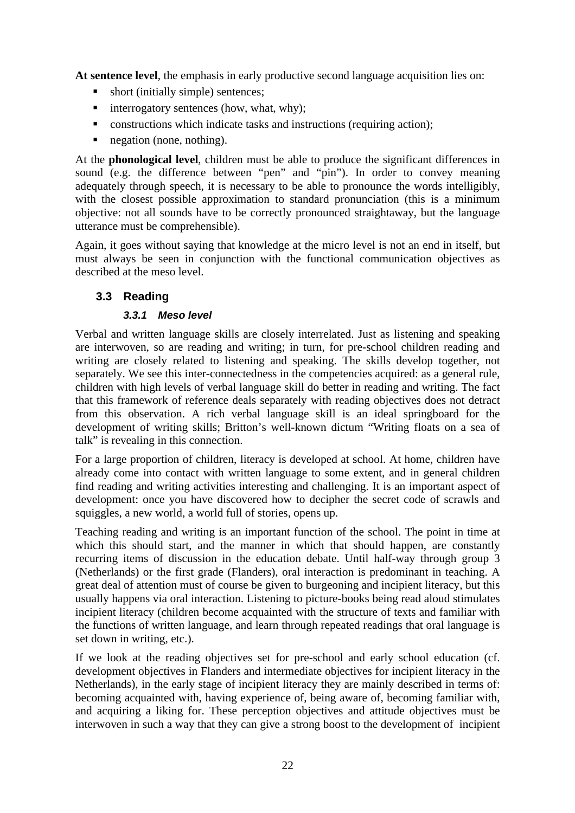**At sentence level**, the emphasis in early productive second language acquisition lies on:

- short (initially simple) sentences;
- $\blacksquare$  interrogatory sentences (how, what, why);
- constructions which indicate tasks and instructions (requiring action);
- negation (none, nothing).

At the **phonological level**, children must be able to produce the significant differences in sound (e.g. the difference between "pen" and "pin"). In order to convey meaning adequately through speech, it is necessary to be able to pronounce the words intelligibly, with the closest possible approximation to standard pronunciation (this is a minimum objective: not all sounds have to be correctly pronounced straightaway, but the language utterance must be comprehensible).

Again, it goes without saying that knowledge at the micro level is not an end in itself, but must always be seen in conjunction with the functional communication objectives as described at the meso level.

# <span id="page-21-0"></span>**3.3 Reading**

## <span id="page-21-1"></span>*3.3.1 Meso level*

Verbal and written language skills are closely interrelated. Just as listening and speaking are interwoven, so are reading and writing; in turn, for pre-school children reading and writing are closely related to listening and speaking. The skills develop together, not separately. We see this inter-connectedness in the competencies acquired: as a general rule, children with high levels of verbal language skill do better in reading and writing. The fact that this framework of reference deals separately with reading objectives does not detract from this observation. A rich verbal language skill is an ideal springboard for the development of writing skills; Britton's well-known dictum "Writing floats on a sea of talk" is revealing in this connection.

For a large proportion of children, literacy is developed at school. At home, children have already come into contact with written language to some extent, and in general children find reading and writing activities interesting and challenging. It is an important aspect of development: once you have discovered how to decipher the secret code of scrawls and squiggles, a new world, a world full of stories, opens up.

Teaching reading and writing is an important function of the school. The point in time at which this should start, and the manner in which that should happen, are constantly recurring items of discussion in the education debate. Until half-way through group 3 (Netherlands) or the first grade (Flanders), oral interaction is predominant in teaching. A great deal of attention must of course be given to burgeoning and incipient literacy, but this usually happens via oral interaction. Listening to picture-books being read aloud stimulates incipient literacy (children become acquainted with the structure of texts and familiar with the functions of written language, and learn through repeated readings that oral language is set down in writing, etc.).

If we look at the reading objectives set for pre-school and early school education (cf. development objectives in Flanders and intermediate objectives for incipient literacy in the Netherlands), in the early stage of incipient literacy they are mainly described in terms of: becoming acquainted with, having experience of, being aware of, becoming familiar with, and acquiring a liking for. These perception objectives and attitude objectives must be interwoven in such a way that they can give a strong boost to the development of incipient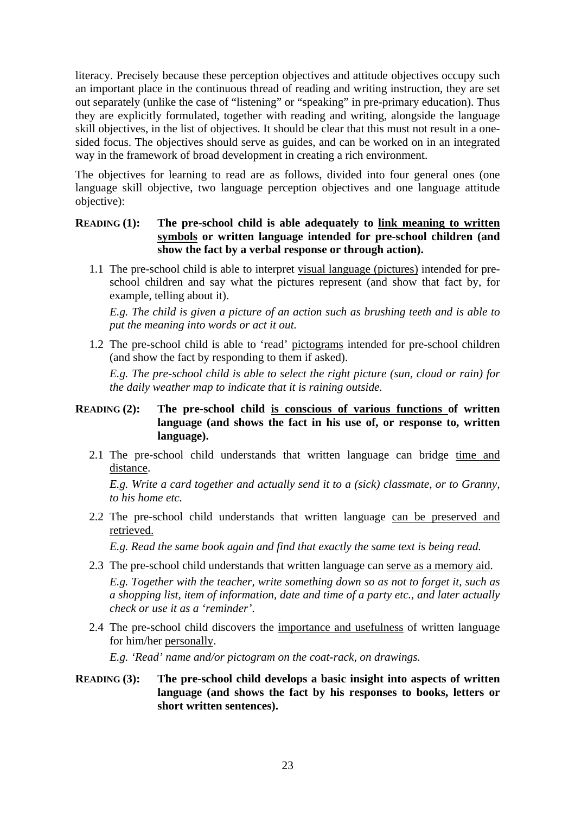literacy. Precisely because these perception objectives and attitude objectives occupy such an important place in the continuous thread of reading and writing instruction, they are set out separately (unlike the case of "listening" or "speaking" in pre-primary education). Thus they are explicitly formulated, together with reading and writing, alongside the language skill objectives, in the list of objectives. It should be clear that this must not result in a onesided focus. The objectives should serve as guides, and can be worked on in an integrated way in the framework of broad development in creating a rich environment.

The objectives for learning to read are as follows, divided into four general ones (one language skill objective, two language perception objectives and one language attitude objective):

#### **READING (1):** The pre-school child is able adequately to link meaning to written **symbols or written language intended for pre-school children (and show the fact by a verbal response or through action).**

1.1 The pre-school child is able to interpret visual language (pictures) intended for preschool children and say what the pictures represent (and show that fact by, for example, telling about it).

*E.g. The child is given a picture of an action such as brushing teeth and is able to put the meaning into words or act it out.*

1.2 The pre-school child is able to 'read' pictograms intended for pre-school children (and show the fact by responding to them if asked).

*E.g. The pre-school child is able to select the right picture (sun, cloud or rain) for the daily weather map to indicate that it is raining outside.*

#### **READING (2): The pre-school child is conscious of various functions of written language (and shows the fact in his use of, or response to, written language).**

2.1 The pre-school child understands that written language can bridge time and distance.

*E.g. Write a card together and actually send it to a (sick) classmate, or to Granny, to his home etc.*

2.2 The pre-school child understands that written language can be preserved and retrieved.

*E.g. Read the same book again and find that exactly the same text is being read.*

2.3 The pre-school child understands that written language can serve as a memory aid.

*E.g. Together with the teacher, write something down so as not to forget it, such as a shopping list, item of information, date and time of a party etc., and later actually check or use it as a 'reminder'*.

2.4 The pre-school child discovers the importance and usefulness of written language for him/her personally.

*E.g. 'Read' name and/or pictogram on the coat-rack, on drawings.*

#### **READING (3):** The pre-school child develops a basic insight into aspects of written **language (and shows the fact by his responses to books, letters or short written sentences).**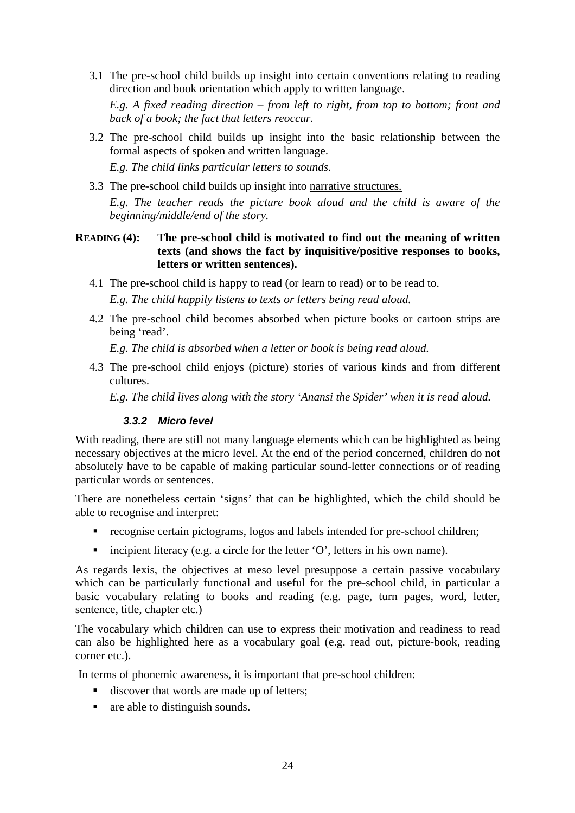- 3.1 The pre-school child builds up insight into certain conventions relating to reading direction and book orientation which apply to written language. *E.g. A fixed reading direction – from left to right, from top to bottom; front and back of a book; the fact that letters reoccur.*
- 3.2 The pre-school child builds up insight into the basic relationship between the formal aspects of spoken and written language.

*E.g. The child links particular letters to sounds.*

3.3 The pre-school child builds up insight into narrative structures.

*E.g. The teacher reads the picture book aloud and the child is aware of the beginning/middle/end of the story.*

#### **READING (4): The pre-school child is motivated to find out the meaning of written texts (and shows the fact by inquisitive/positive responses to books, letters or written sentences).**

- 4.1 The pre-school child is happy to read (or learn to read) or to be read to. *E.g. The child happily listens to texts or letters being read aloud.*
- 4.2 The pre-school child becomes absorbed when picture books or cartoon strips are being 'read'.

*E.g. The child is absorbed when a letter or book is being read aloud.*

4.3 The pre-school child enjoys (picture) stories of various kinds and from different cultures.

*E.g. The child lives along with the story 'Anansi the Spider' when it is read aloud.*

#### <span id="page-23-0"></span>*3.3.2 Micro level*

With reading, there are still not many language elements which can be highlighted as being necessary objectives at the micro level. At the end of the period concerned, children do not absolutely have to be capable of making particular sound-letter connections or of reading particular words or sentences.

There are nonetheless certain 'signs' that can be highlighted, which the child should be able to recognise and interpret:

- recognise certain pictograms, logos and labels intended for pre-school children;
- incipient literacy (e.g. a circle for the letter  $'O'$ , letters in his own name).

As regards lexis, the objectives at meso level presuppose a certain passive vocabulary which can be particularly functional and useful for the pre-school child, in particular a basic vocabulary relating to books and reading (e.g. page, turn pages, word, letter, sentence, title, chapter etc.)

The vocabulary which children can use to express their motivation and readiness to read can also be highlighted here as a vocabulary goal (e.g. read out, picture-book, reading corner etc.).

In terms of phonemic awareness, it is important that pre-school children:

- discover that words are made up of letters;
- **a** are able to distinguish sounds.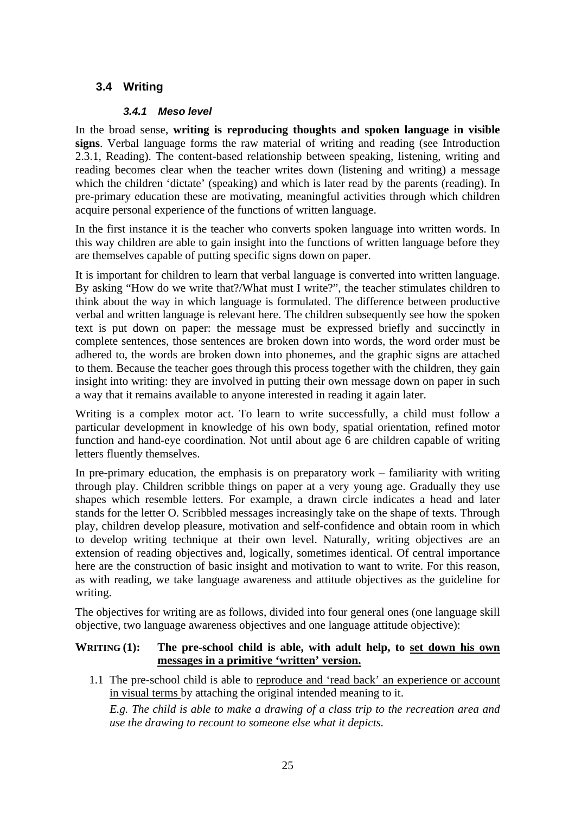# <span id="page-24-0"></span>**3.4 Writing**

#### <span id="page-24-1"></span>*3.4.1 Meso level*

In the broad sense, **writing is reproducing thoughts and spoken language in visible signs**. Verbal language forms the raw material of writing and reading (see Introduction 2.3.1, Reading). The content-based relationship between speaking, listening, writing and reading becomes clear when the teacher writes down (listening and writing) a message which the children 'dictate' (speaking) and which is later read by the parents (reading). In pre-primary education these are motivating, meaningful activities through which children acquire personal experience of the functions of written language.

In the first instance it is the teacher who converts spoken language into written words. In this way children are able to gain insight into the functions of written language before they are themselves capable of putting specific signs down on paper.

It is important for children to learn that verbal language is converted into written language. By asking "How do we write that?/What must I write?", the teacher stimulates children to think about the way in which language is formulated. The difference between productive verbal and written language is relevant here. The children subsequently see how the spoken text is put down on paper: the message must be expressed briefly and succinctly in complete sentences, those sentences are broken down into words, the word order must be adhered to, the words are broken down into phonemes, and the graphic signs are attached to them. Because the teacher goes through this process together with the children, they gain insight into writing: they are involved in putting their own message down on paper in such a way that it remains available to anyone interested in reading it again later.

Writing is a complex motor act. To learn to write successfully, a child must follow a particular development in knowledge of his own body, spatial orientation, refined motor function and hand-eye coordination. Not until about age 6 are children capable of writing letters fluently themselves.

In pre-primary education, the emphasis is on preparatory work – familiarity with writing through play. Children scribble things on paper at a very young age. Gradually they use shapes which resemble letters. For example, a drawn circle indicates a head and later stands for the letter O. Scribbled messages increasingly take on the shape of texts. Through play, children develop pleasure, motivation and self-confidence and obtain room in which to develop writing technique at their own level. Naturally, writing objectives are an extension of reading objectives and, logically, sometimes identical. Of central importance here are the construction of basic insight and motivation to want to write. For this reason, as with reading, we take language awareness and attitude objectives as the guideline for writing.

The objectives for writing are as follows, divided into four general ones (one language skill objective, two language awareness objectives and one language attitude objective):

## **WRITING (1):** The pre-school child is able, with adult help, to set down his own **messages in a primitive 'written' version.**

1.1 The pre-school child is able to reproduce and 'read back' an experience or account in visual terms by attaching the original intended meaning to it.

*E.g. The child is able to make a drawing of a class trip to the recreation area and use the drawing to recount to someone else what it depicts.*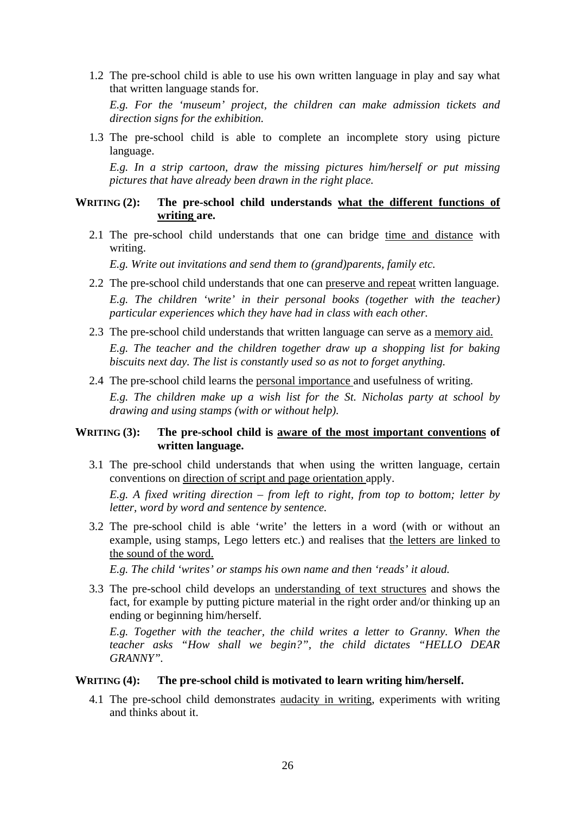1.2 The pre-school child is able to use his own written language in play and say what that written language stands for.

*E.g. For the 'museum' project, the children can make admission tickets and direction signs for the exhibition.*

1.3 The pre-school child is able to complete an incomplete story using picture language.

*E.g. In a strip cartoon, draw the missing pictures him/herself or put missing pictures that have already been drawn in the right place.*

#### **WRITING (2): The pre-school child understands what the different functions of writing are.**

2.1 The pre-school child understands that one can bridge time and distance with writing.

*E.g. Write out invitations and send them to (grand)parents, family etc.*

- 2.2 The pre-school child understands that one can preserve and repeat written language. *E.g. The children 'write' in their personal books (together with the teacher) particular experiences which they have had in class with each other.*
- 2.3 The pre-school child understands that written language can serve as a memory aid. *E.g. The teacher and the children together draw up a shopping list for baking biscuits next day. The list is constantly used so as not to forget anything.*
- 2.4 The pre-school child learns the personal importance and usefulness of writing. *E.g. The children make up a wish list for the St. Nicholas party at school by drawing and using stamps (with or without help).*

#### **WRITING (3): The pre-school child is aware of the most important conventions of written language.**

3.1 The pre-school child understands that when using the written language, certain conventions on direction of script and page orientation apply.

*E.g. A fixed writing direction – from left to right, from top to bottom; letter by letter, word by word and sentence by sentence.*

3.2 The pre-school child is able 'write' the letters in a word (with or without an example, using stamps, Lego letters etc.) and realises that the letters are linked to the sound of the word.

*E.g. The child 'writes' or stamps his own name and then 'reads' it aloud.*

3.3 The pre-school child develops an understanding of text structures and shows the fact, for example by putting picture material in the right order and/or thinking up an ending or beginning him/herself.

*E.g. Together with the teacher, the child writes a letter to Granny. When the teacher asks "How shall we begin?", the child dictates "HELLO DEAR GRANNY".*

#### **WRITING (4): The pre-school child is motivated to learn writing him/herself.**

4.1 The pre-school child demonstrates audacity in writing, experiments with writing and thinks about it.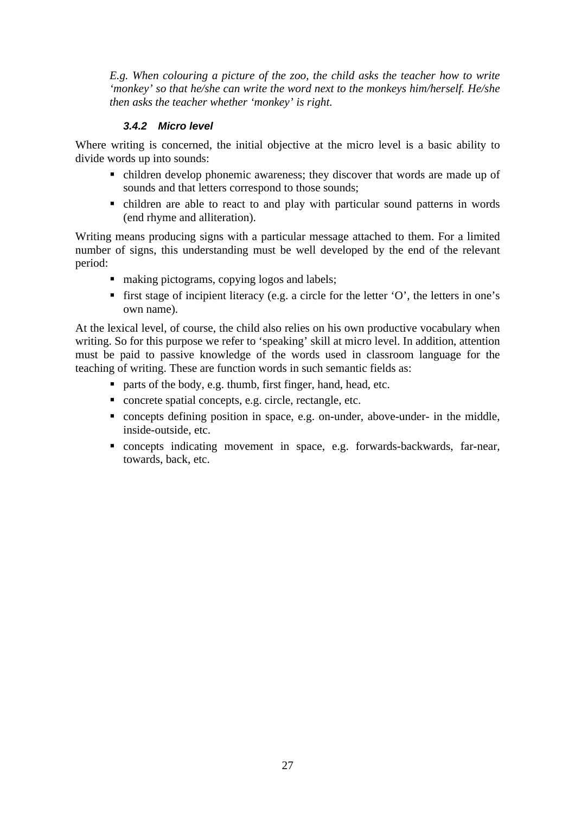*E.g. When colouring a picture of the zoo, the child asks the teacher how to write 'monkey' so that he/she can write the word next to the monkeys him/herself. He/she then asks the teacher whether 'monkey' is right.*

#### <span id="page-26-0"></span>*3.4.2 Micro level*

Where writing is concerned, the initial objective at the micro level is a basic ability to divide words up into sounds:

- children develop phonemic awareness; they discover that words are made up of sounds and that letters correspond to those sounds;
- children are able to react to and play with particular sound patterns in words (end rhyme and alliteration).

Writing means producing signs with a particular message attached to them. For a limited number of signs, this understanding must be well developed by the end of the relevant period:

- making pictograms, copying logos and labels;
- first stage of incipient literacy (e.g. a circle for the letter  $'O'$ , the letters in one's own name).

At the lexical level, of course, the child also relies on his own productive vocabulary when writing. So for this purpose we refer to 'speaking' skill at micro level. In addition, attention must be paid to passive knowledge of the words used in classroom language for the teaching of writing. These are function words in such semantic fields as:

- parts of the body, e.g. thumb, first finger, hand, head, etc.
- concrete spatial concepts, e.g. circle, rectangle, etc.
- concepts defining position in space, e.g. on-under, above-under- in the middle, inside-outside, etc.
- concepts indicating movement in space, e.g. forwards-backwards, far-near, towards, back, etc.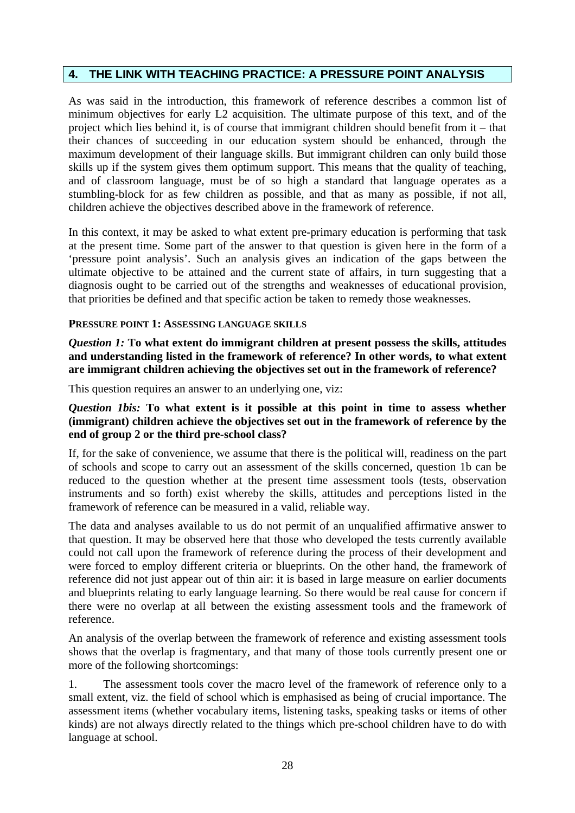## <span id="page-27-0"></span>**4. THE LINK WITH TEACHING PRACTICE: A PRESSURE POINT ANALYSIS**

As was said in the introduction, this framework of reference describes a common list of minimum objectives for early L2 acquisition. The ultimate purpose of this text, and of the project which lies behind it, is of course that immigrant children should benefit from it – that their chances of succeeding in our education system should be enhanced, through the maximum development of their language skills. But immigrant children can only build those skills up if the system gives them optimum support. This means that the quality of teaching, and of classroom language, must be of so high a standard that language operates as a stumbling-block for as few children as possible, and that as many as possible, if not all, children achieve the objectives described above in the framework of reference.

In this context, it may be asked to what extent pre-primary education is performing that task at the present time. Some part of the answer to that question is given here in the form of a 'pressure point analysis'. Such an analysis gives an indication of the gaps between the ultimate objective to be attained and the current state of affairs, in turn suggesting that a diagnosis ought to be carried out of the strengths and weaknesses of educational provision, that priorities be defined and that specific action be taken to remedy those weaknesses.

#### **PRESSURE POINT 1: ASSESSING LANGUAGE SKILLS**

*Question 1:* **To what extent do immigrant children at present possess the skills, attitudes and understanding listed in the framework of reference? In other words, to what extent are immigrant children achieving the objectives set out in the framework of reference?**

This question requires an answer to an underlying one, viz:

#### *Question 1bis:* **To what extent is it possible at this point in time to assess whether (immigrant) children achieve the objectives set out in the framework of reference by the end of group 2 or the third pre-school class?**

If, for the sake of convenience, we assume that there is the political will, readiness on the part of schools and scope to carry out an assessment of the skills concerned, question 1b can be reduced to the question whether at the present time assessment tools (tests, observation instruments and so forth) exist whereby the skills, attitudes and perceptions listed in the framework of reference can be measured in a valid, reliable way.

The data and analyses available to us do not permit of an unqualified affirmative answer to that question. It may be observed here that those who developed the tests currently available could not call upon the framework of reference during the process of their development and were forced to employ different criteria or blueprints. On the other hand, the framework of reference did not just appear out of thin air: it is based in large measure on earlier documents and blueprints relating to early language learning. So there would be real cause for concern if there were no overlap at all between the existing assessment tools and the framework of reference.

An analysis of the overlap between the framework of reference and existing assessment tools shows that the overlap is fragmentary, and that many of those tools currently present one or more of the following shortcomings:

1. The assessment tools cover the macro level of the framework of reference only to a small extent, viz. the field of school which is emphasised as being of crucial importance. The assessment items (whether vocabulary items, listening tasks, speaking tasks or items of other kinds) are not always directly related to the things which pre-school children have to do with language at school.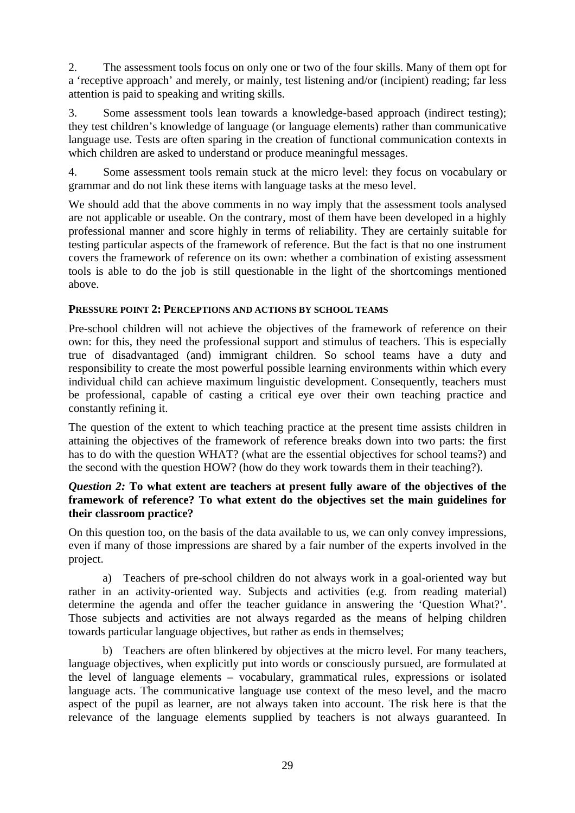2. The assessment tools focus on only one or two of the four skills. Many of them opt for a 'receptive approach' and merely, or mainly, test listening and/or (incipient) reading; far less attention is paid to speaking and writing skills.

3. Some assessment tools lean towards a knowledge-based approach (indirect testing); they test children's knowledge of language (or language elements) rather than communicative language use. Tests are often sparing in the creation of functional communication contexts in which children are asked to understand or produce meaningful messages.

4. Some assessment tools remain stuck at the micro level: they focus on vocabulary or grammar and do not link these items with language tasks at the meso level.

We should add that the above comments in no way imply that the assessment tools analysed are not applicable or useable. On the contrary, most of them have been developed in a highly professional manner and score highly in terms of reliability. They are certainly suitable for testing particular aspects of the framework of reference. But the fact is that no one instrument covers the framework of reference on its own: whether a combination of existing assessment tools is able to do the job is still questionable in the light of the shortcomings mentioned above.

#### **PRESSURE POINT 2: PERCEPTIONS AND ACTIONS BY SCHOOL TEAMS**

Pre-school children will not achieve the objectives of the framework of reference on their own: for this, they need the professional support and stimulus of teachers. This is especially true of disadvantaged (and) immigrant children. So school teams have a duty and responsibility to create the most powerful possible learning environments within which every individual child can achieve maximum linguistic development. Consequently, teachers must be professional, capable of casting a critical eye over their own teaching practice and constantly refining it.

The question of the extent to which teaching practice at the present time assists children in attaining the objectives of the framework of reference breaks down into two parts: the first has to do with the question WHAT? (what are the essential objectives for school teams?) and the second with the question HOW? (how do they work towards them in their teaching?).

#### *Question 2:* **To what extent are teachers at present fully aware of the objectives of the framework of reference? To what extent do the objectives set the main guidelines for their classroom practice?**

On this question too, on the basis of the data available to us, we can only convey impressions, even if many of those impressions are shared by a fair number of the experts involved in the project.

a) Teachers of pre-school children do not always work in a goal-oriented way but rather in an activity-oriented way. Subjects and activities (e.g. from reading material) determine the agenda and offer the teacher guidance in answering the 'Question What?'. Those subjects and activities are not always regarded as the means of helping children towards particular language objectives, but rather as ends in themselves;

b) Teachers are often blinkered by objectives at the micro level. For many teachers, language objectives, when explicitly put into words or consciously pursued, are formulated at the level of language elements – vocabulary, grammatical rules, expressions or isolated language acts. The communicative language use context of the meso level, and the macro aspect of the pupil as learner, are not always taken into account. The risk here is that the relevance of the language elements supplied by teachers is not always guaranteed. In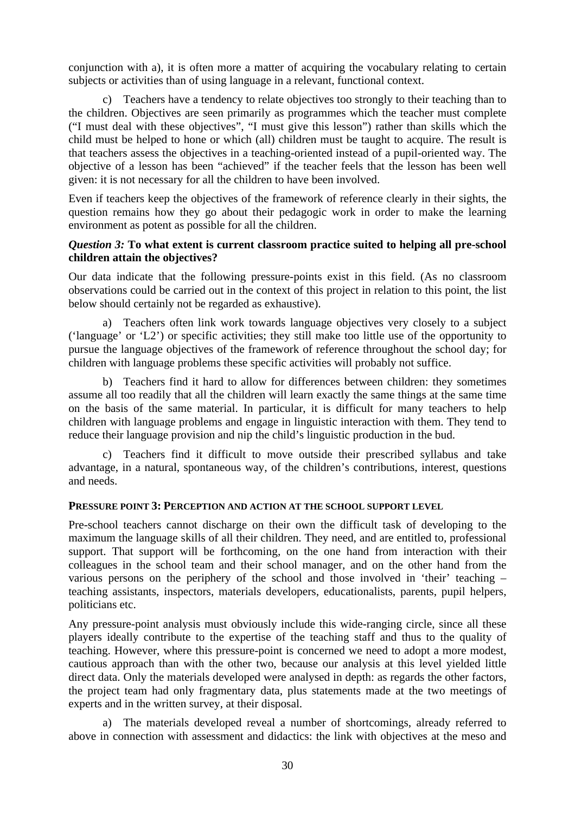conjunction with a), it is often more a matter of acquiring the vocabulary relating to certain subjects or activities than of using language in a relevant, functional context.

c) Teachers have a tendency to relate objectives too strongly to their teaching than to the children. Objectives are seen primarily as programmes which the teacher must complete ("I must deal with these objectives", "I must give this lesson") rather than skills which the child must be helped to hone or which (all) children must be taught to acquire. The result is that teachers assess the objectives in a teaching-oriented instead of a pupil-oriented way. The objective of a lesson has been "achieved" if the teacher feels that the lesson has been well given: it is not necessary for all the children to have been involved.

Even if teachers keep the objectives of the framework of reference clearly in their sights, the question remains how they go about their pedagogic work in order to make the learning environment as potent as possible for all the children.

#### *Question 3:* **To what extent is current classroom practice suited to helping all pre-school children attain the objectives?**

Our data indicate that the following pressure-points exist in this field. (As no classroom observations could be carried out in the context of this project in relation to this point, the list below should certainly not be regarded as exhaustive).

a) Teachers often link work towards language objectives very closely to a subject ('language' or 'L2') or specific activities; they still make too little use of the opportunity to pursue the language objectives of the framework of reference throughout the school day; for children with language problems these specific activities will probably not suffice.

b) Teachers find it hard to allow for differences between children: they sometimes assume all too readily that all the children will learn exactly the same things at the same time on the basis of the same material. In particular, it is difficult for many teachers to help children with language problems and engage in linguistic interaction with them. They tend to reduce their language provision and nip the child's linguistic production in the bud.

c) Teachers find it difficult to move outside their prescribed syllabus and take advantage, in a natural, spontaneous way, of the children's contributions, interest, questions and needs.

#### **PRESSURE POINT 3: PERCEPTION AND ACTION AT THE SCHOOL SUPPORT LEVEL**

Pre-school teachers cannot discharge on their own the difficult task of developing to the maximum the language skills of all their children. They need, and are entitled to, professional support. That support will be forthcoming, on the one hand from interaction with their colleagues in the school team and their school manager, and on the other hand from the various persons on the periphery of the school and those involved in 'their' teaching – teaching assistants, inspectors, materials developers, educationalists, parents, pupil helpers, politicians etc.

Any pressure-point analysis must obviously include this wide-ranging circle, since all these players ideally contribute to the expertise of the teaching staff and thus to the quality of teaching. However, where this pressure-point is concerned we need to adopt a more modest, cautious approach than with the other two, because our analysis at this level yielded little direct data. Only the materials developed were analysed in depth: as regards the other factors, the project team had only fragmentary data, plus statements made at the two meetings of experts and in the written survey, at their disposal.

a) The materials developed reveal a number of shortcomings, already referred to above in connection with assessment and didactics: the link with objectives at the meso and